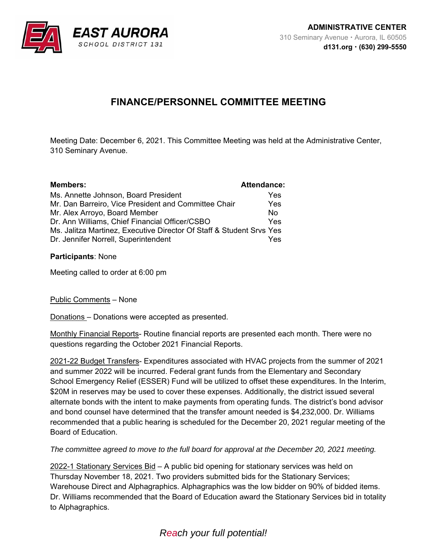

## **FINANCE/PERSONNEL COMMITTEE MEETING**

Meeting Date: December 6, 2021. This Committee Meeting was held at the Administrative Center, 310 Seminary Avenue.

| <b>Members:</b>                                                      | <b>Attendance:</b> |
|----------------------------------------------------------------------|--------------------|
| Ms. Annette Johnson, Board President                                 | Yes                |
| Mr. Dan Barreiro, Vice President and Committee Chair                 | Yes                |
| Mr. Alex Arroyo, Board Member                                        | N٥                 |
| Dr. Ann Williams, Chief Financial Officer/CSBO                       | Yes                |
| Ms. Jalitza Martinez, Executive Director Of Staff & Student Srvs Yes |                    |
| Dr. Jennifer Norrell, Superintendent                                 | Yes                |
|                                                                      |                    |

## **Participants**: None

Meeting called to order at 6:00 pm

Public Comments – None

Donations – Donations were accepted as presented.

Monthly Financial Reports- Routine financial reports are presented each month. There were no questions regarding the October 2021 Financial Reports.

2021-22 Budget Transfers- Expenditures associated with HVAC projects from the summer of 2021 and summer 2022 will be incurred. Federal grant funds from the Elementary and Secondary School Emergency Relief (ESSER) Fund will be utilized to offset these expenditures. In the Interim, \$20M in reserves may be used to cover these expenses. Additionally, the district issued several alternate bonds with the intent to make payments from operating funds. The district's bond advisor and bond counsel have determined that the transfer amount needed is \$4,232,000. Dr. Williams recommended that a public hearing is scheduled for the December 20, 2021 regular meeting of the Board of Education.

*The committee agreed to move to the full board for approval at the December 20, 2021 meeting.* 

2022-1 Stationary Services Bid – A public bid opening for stationary services was held on Thursday November 18, 2021. Two providers submitted bids for the Stationary Services; Warehouse Direct and Alphagraphics. Alphagraphics was the low bidder on 90% of bidded items. Dr. Williams recommended that the Board of Education award the Stationary Services bid in totality to Alphagraphics.

## *Reach your full potential!*